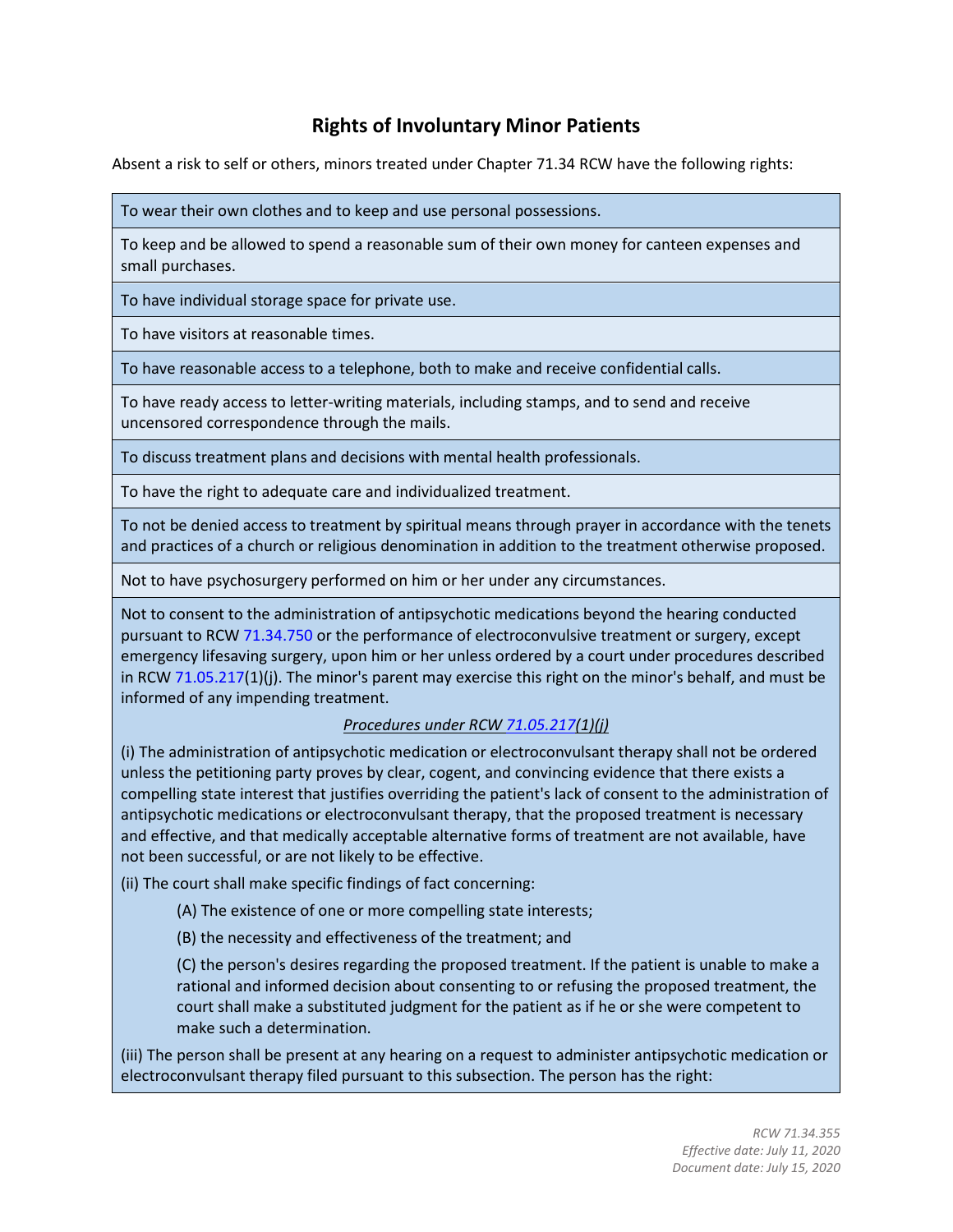## **Rights of Involuntary Minor Patients**

Absent a risk to self or others, minors treated under Chapter 71.34 RCW have the following rights:

To wear their own clothes and to keep and use personal possessions.

To keep and be allowed to spend a reasonable sum of their own money for canteen expenses and small purchases.

To have individual storage space for private use.

To have visitors at reasonable times.

To have reasonable access to a telephone, both to make and receive confidential calls.

To have ready access to letter-writing materials, including stamps, and to send and receive uncensored correspondence through the mails.

To discuss treatment plans and decisions with mental health professionals.

To have the right to adequate care and individualized treatment.

To not be denied access to treatment by spiritual means through prayer in accordance with the tenets and practices of a church or religious denomination in addition to the treatment otherwise proposed.

Not to have psychosurgery performed on him or her under any circumstances.

Not to consent to the administration of antipsychotic medications beyond the hearing conducted pursuant to RCW [71.34.750](http://app.leg.wa.gov/RCW/default.aspx?cite=71.34.750) or the performance of electroconvulsive treatment or surgery, except emergency lifesaving surgery, upon him or her unless ordered by a court under procedures described in RCW [71.05.217\(](http://app.leg.wa.gov/RCW/default.aspx?cite=71.05.217)1)(j). The minor's parent may exercise this right on the minor's behalf, and must be informed of any impending treatment.

## *Procedures under RCW [71.05.217\(](http://app.leg.wa.gov/RCW/default.aspx?cite=71.05.217)1)(j)*

(i) The administration of antipsychotic medication or electroconvulsant therapy shall not be ordered unless the petitioning party proves by clear, cogent, and convincing evidence that there exists a compelling state interest that justifies overriding the patient's lack of consent to the administration of antipsychotic medications or electroconvulsant therapy, that the proposed treatment is necessary and effective, and that medically acceptable alternative forms of treatment are not available, have not been successful, or are not likely to be effective.

(ii) The court shall make specific findings of fact concerning:

- (A) The existence of one or more compelling state interests;
- (B) the necessity and effectiveness of the treatment; and

(C) the person's desires regarding the proposed treatment. If the patient is unable to make a rational and informed decision about consenting to or refusing the proposed treatment, the court shall make a substituted judgment for the patient as if he or she were competent to make such a determination.

(iii) The person shall be present at any hearing on a request to administer antipsychotic medication or electroconvulsant therapy filed pursuant to this subsection. The person has the right: